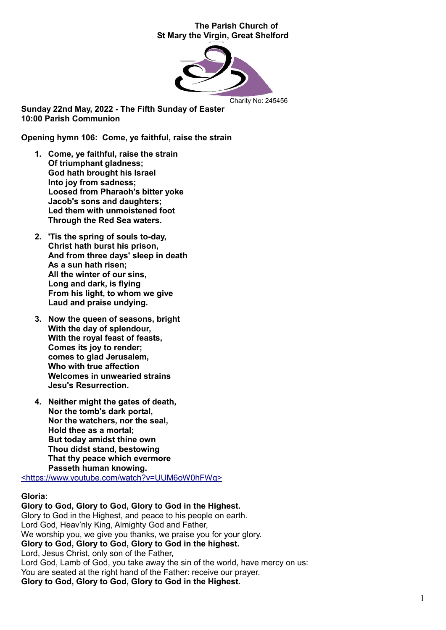## The Parish Church of St Mary the Virgin, Great Shelford



Sunday 22nd May, 2022 - The Fifth Sunday of Easter 10:00 Parish Communion

Opening hymn 106: Come, ye faithful, raise the strain

- 1. Come, ye faithful, raise the strain Of triumphant gladness: God hath brought his Israel Into joy from sadness; Loosed from Pharaoh's bitter yoke Jacob's sons and daughters; Led them with unmoistened foot Through the Red Sea waters.
- 2. 'Tis the spring of souls to-day, Christ hath burst his prison, And from three days' sleep in death As a sun hath risen; All the winter of our sins, Long and dark, is flying From his light, to whom we give Laud and praise undying.
- 3. Now the queen of seasons, bright With the day of splendour, With the royal feast of feasts, Comes its joy to render; comes to glad Jerusalem, Who with true affection Welcomes in unwearied strains Jesu's Resurrection.
- 4. Neither might the gates of death, Nor the tomb's dark portal, Nor the watchers, nor the seal, Hold thee as a mortal; But today amidst thine own Thou didst stand, bestowing That thy peace which evermore Passeth human knowing.

<https://www.youtube.com/watch?v=UUM6oW0hFWg>

# Gloria:

Glory to God, Glory to God, Glory to God in the Highest. Glory to God in the Highest, and peace to his people on earth. Lord God, Heav'nly King, Almighty God and Father, We worship you, we give you thanks, we praise you for your glory. Glory to God, Glory to God, Glory to God in the highest. Lord, Jesus Christ, only son of the Father, Lord God, Lamb of God, you take away the sin of the world, have mercy on us: You are seated at the right hand of the Father: receive our prayer. Glory to God, Glory to God, Glory to God in the Highest.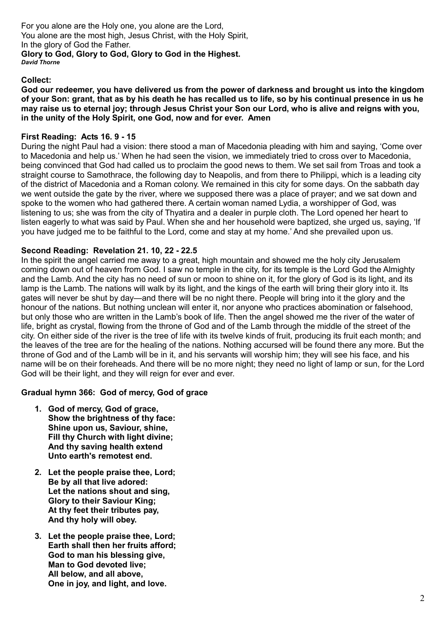For you alone are the Holy one, you alone are the Lord, You alone are the most high, Jesus Christ, with the Holy Spirit, In the glory of God the Father. Glory to God, Glory to God, Glory to God in the Highest. *David Thorne*

# Collect:

God our redeemer, you have delivered us from the power of darkness and brought us into the kingdom of your Son: grant, that as by his death he has recalled us to life, so by his continual presence in us he may raise us to eternal joy; through Jesus Christ your Son our Lord, who is alive and reigns with you, in the unity of the Holy Spirit, one God, now and for ever. Amen

# First Reading: Acts 16. 9 - 15

During the night Paul had a vision: there stood a man of Macedonia pleading with him and saying, 'Come over to Macedonia and help us.' When he had seen the vision, we immediately tried to cross over to Macedonia, being convinced that God had called us to proclaim the good news to them. We set sail from Troas and took a straight course to Samothrace, the following day to Neapolis, and from there to Philippi, which is a leading city of the district of Macedonia and a Roman colony. We remained in this city for some days. On the sabbath day we went outside the gate by the river, where we supposed there was a place of prayer; and we sat down and spoke to the women who had gathered there. A certain woman named Lydia, a worshipper of God, was listening to us; she was from the city of Thyatira and a dealer in purple cloth. The Lord opened her heart to listen eagerly to what was said by Paul. When she and her household were baptized, she urged us, saying, 'If you have judged me to be faithful to the Lord, come and stay at my home.' And she prevailed upon us.

# Second Reading: Revelation 21. 10, 22 - 22.5

In the spirit the angel carried me away to a great, high mountain and showed me the holy city Jerusalem coming down out of heaven from God. I saw no temple in the city, for its temple is the Lord God the Almighty and the Lamb. And the city has no need of sun or moon to shine on it, for the glory of God is its light, and its lamp is the Lamb. The nations will walk by its light, and the kings of the earth will bring their glory into it. Its gates will never be shut by day—and there will be no night there. People will bring into it the glory and the honour of the nations. But nothing unclean will enter it, nor anyone who practices abomination or falsehood, but only those who are written in the Lamb's book of life. Then the angel showed me the river of the water of life, bright as crystal, flowing from the throne of God and of the Lamb through the middle of the street of the city. On either side of the river is the tree of life with its twelve kinds of fruit, producing its fruit each month; and the leaves of the tree are for the healing of the nations. Nothing accursed will be found there any more. But the throne of God and of the Lamb will be in it, and his servants will worship him; they will see his face, and his name will be on their foreheads. And there will be no more night; they need no light of lamp or sun, for the Lord God will be their light, and they will reign for ever and ever.

# Gradual hymn 366: God of mercy, God of grace

- 1. God of mercy, God of grace, Show the brightness of thy face: Shine upon us, Saviour, shine, Fill thy Church with light divine; And thy saving health extend Unto earth's remotest end.
- 2. Let the people praise thee, Lord; Be by all that live adored: Let the nations shout and sing, Glory to their Saviour King; At thy feet their tributes pay, And thy holy will obey.
- 3. Let the people praise thee, Lord; Earth shall then her fruits afford; God to man his blessing give, Man to God devoted live; All below, and all above, One in joy, and light, and love.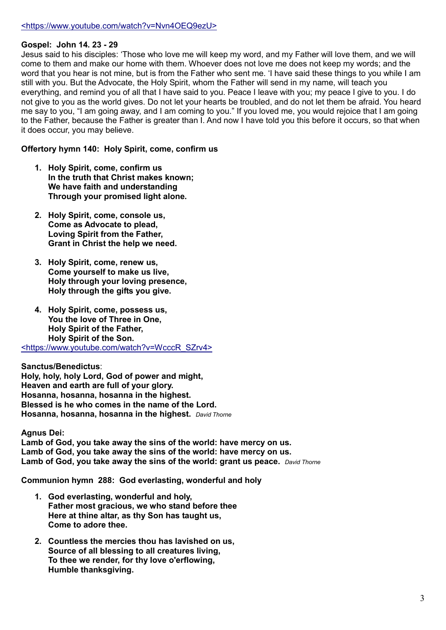# <https://www.youtube.com/watch?v=Nvn4OEQ9ezU>

### Gospel: John 14. 23 - 29

Jesus said to his disciples: 'Those who love me will keep my word, and my Father will love them, and we will come to them and make our home with them. Whoever does not love me does not keep my words; and the word that you hear is not mine, but is from the Father who sent me. 'I have said these things to you while I am still with you. But the Advocate, the Holy Spirit, whom the Father will send in my name, will teach you everything, and remind you of all that I have said to you. Peace I leave with you; my peace I give to you. I do not give to you as the world gives. Do not let your hearts be troubled, and do not let them be afraid. You heard me say to you, "I am going away, and I am coming to you." If you loved me, you would rejoice that I am going to the Father, because the Father is greater than I. And now I have told you this before it occurs, so that when it does occur, you may believe.

Offertory hymn 140: Holy Spirit, come, confirm us

- 1. Holy Spirit, come, confirm us In the truth that Christ makes known; We have faith and understanding Through your promised light alone.
- 2. Holy Spirit, come, console us, Come as Advocate to plead, Loving Spirit from the Father, Grant in Christ the help we need.
- 3. Holy Spirit, come, renew us, Come yourself to make us live, Holy through your loving presence, Holy through the gifts you give.
- 4. Holy Spirit, come, possess us, You the love of Three in One. Holy Spirit of the Father, Holy Spirit of the Son. <https://www.youtube.com/watch?v=WcccR\_SZrv4>

Sanctus/Benedictus: Holy, holy, holy Lord, God of power and might, Heaven and earth are full of your glory. Hosanna, hosanna, hosanna in the highest. Blessed is he who comes in the name of the Lord. Hosanna, hosanna, hosanna in the highest. *David Thorne*

Agnus Dei:

Lamb of God, you take away the sins of the world: have mercy on us. Lamb of God, you take away the sins of the world: have mercy on us. Lamb of God, you take away the sins of the world: grant us peace. *David Thorne*

Communion hymn 288: God everlasting, wonderful and holy

- 1. God everlasting, wonderful and holy, Father most gracious, we who stand before thee Here at thine altar, as thy Son has taught us, Come to adore thee.
- 2. Countless the mercies thou has lavished on us, Source of all blessing to all creatures living, To thee we render, for thy love o'erflowing, Humble thanksgiving.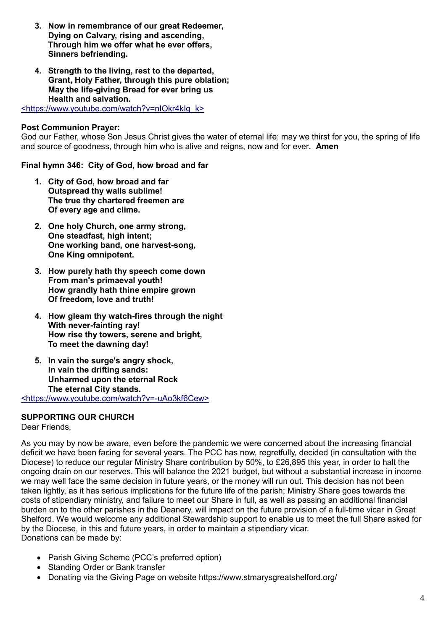- 3. Now in remembrance of our great Redeemer, Dying on Calvary, rising and ascending, Through him we offer what he ever offers, Sinners befriending.
- 4. Strength to the living, rest to the departed, Grant, Holy Father, through this pure oblation; May the life-giving Bread for ever bring us Health and salvation.

<https://www.youtube.com/watch?v=nIOkr4kIg\_k>

# Post Communion Prayer:

God our Father, whose Son Jesus Christ gives the water of eternal life: may we thirst for you, the spring of life and source of goodness, through him who is alive and reigns, now and for ever. Amen

Final hymn 346: City of God, how broad and far

- 1. City of God, how broad and far Outspread thy walls sublime! The true thy chartered freemen are Of every age and clime.
- 2. One holy Church, one army strong, One steadfast, high intent: One working band, one harvest-song, One King omnipotent.
- 3. How purely hath thy speech come down From man's primaeval youth! How grandly hath thine empire grown Of freedom, love and truth!
- 4. How gleam thy watch-fires through the night With never-fainting ray! How rise thy towers, serene and bright, To meet the dawning day!
- 5. In vain the surge's angry shock, In vain the drifting sands: Unharmed upon the eternal Rock The eternal City stands.

<https://www.youtube.com/watch?v=-uAo3kf6Cew>

# SUPPORTING OUR CHURCH

Dear Friends,

As you may by now be aware, even before the pandemic we were concerned about the increasing financial deficit we have been facing for several years. The PCC has now, regretfully, decided (in consultation with the Diocese) to reduce our regular Ministry Share contribution by 50%, to £26,895 this year, in order to halt the ongoing drain on our reserves. This will balance the 2021 budget, but without a substantial increase in income we may well face the same decision in future years, or the money will run out. This decision has not been taken lightly, as it has serious implications for the future life of the parish; Ministry Share goes towards the costs of stipendiary ministry, and failure to meet our Share in full, as well as passing an additional financial burden on to the other parishes in the Deanery, will impact on the future provision of a full-time vicar in Great Shelford. We would welcome any additional Stewardship support to enable us to meet the full Share asked for by the Diocese, in this and future years, in order to maintain a stipendiary vicar. Donations can be made by:

- Parish Giving Scheme (PCC's preferred option)
- Standing Order or Bank transfer
- Donating via the Giving Page on website https://www.stmarysgreatshelford.org/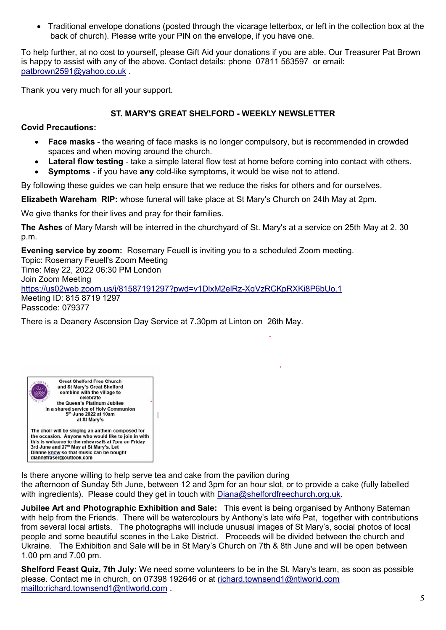Traditional envelope donations (posted through the vicarage letterbox, or left in the collection box at the back of church). Please write your PIN on the envelope, if you have one.

To help further, at no cost to yourself, please Gift Aid your donations if you are able. Our Treasurer Pat Brown is happy to assist with any of the above. Contact details: phone 07811 563597 or email: [patbrown2591@yahoo.co.uk](mailto:patbrown2591@yahoo.co.uk) .

Thank you very much for all your support.

# ST. MARY'S GREAT SHELFORD - WEEKLY NEWSLETTER

# Covid Precautions:

- Face masks the wearing of face masks is no longer compulsory, but is recommended in crowded spaces and when moving around the church.
- Lateral flow testing take a simple lateral flow test at home before coming into contact with others.
- Symptoms if you have any cold-like symptoms, it would be wise not to attend.

By following these guides we can help ensure that we reduce the risks for others and for ourselves.

Elizabeth Wareham RIP: whose funeral will take place at St Mary's Church on 24th May at 2pm.

We give thanks for their lives and pray for their families.

The Ashes of Mary Marsh will be interred in the churchyard of St. Mary's at a service on 25th May at 2. 30 p.m.

Evening service by zoom: Rosemary Feuell is inviting you to a scheduled Zoom meeting. Topic: Rosemary Feuell's Zoom Meeting Time: May 22, 2022 06:30 PM London Join Zoom Meeting https://us02web.zoom.us/j/81587191297?pwd=v1DlxM2elRz-XgVzRCKpRXKi8P6bUo.1 Meeting ID: 815 8719 1297 Passcode: 079377

There is a Deanery Ascension Day Service at 7.30pm at Linton on 26th May.



Is there anyone willing to help serve tea and cake from the pavilion during the afternoon of Sunday 5th June, between 12 and 3pm for an hour slot, or to provide a cake (fully labelled with ingredients). Please could they get in touch with [Diana@shelfordfreechurch.org.uk.](mailto:Diana@shelfordfreechurch.org.uk)

Jubilee Art and Photographic Exhibition and Sale: This event is being organised by Anthony Bateman with help from the Friends. There will be watercolours by Anthony's late wife Pat, together with contributions from several local artists. The photographs will include unusual images of St Mary's, social photos of local people and some beautiful scenes in the Lake District. Proceeds will be divided between the church and Ukraine. The Exhibition and Sale will be in St Mary's Church on 7th & 8th June and will be open between 1.00 pm and 7.00 pm.

Shelford Feast Quiz, 7th July: We need some volunteers to be in the St. Mary's team, as soon as possible please. Contact me in church, on 07398 192646 or at [richard.townsend1@ntlworld.com](mailto:richard.townsend1@ntlworld.com) <mailto:richard.townsend1@ntlworld.com> .